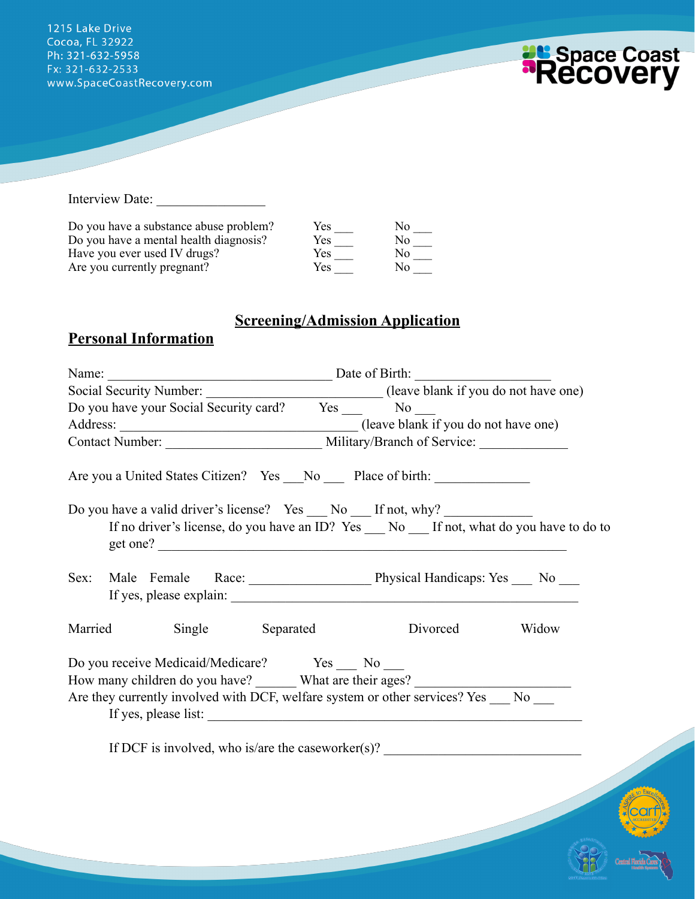1215 Lake Drive Cocoa, FL 32922 Ph: 321-632-5958 Fx: 321-632-2533 www.SpaceCoastRecovery.com



**ADA** 

Interview Date:

| Do you have a substance abuse problem? | Yes  | Nο  |
|----------------------------------------|------|-----|
| Do you have a mental health diagnosis? | Yes. | Nο  |
| Have you ever used IV drugs?           | Yes  | Nο  |
| Are you currently pregnant?            | Yes  | No. |

# **Screening/Admission Application**

# **Personal Information**

| Name:   | Date of Birth:                                                                                                                                                                                                                         |                                                                                              |          |       |
|---------|----------------------------------------------------------------------------------------------------------------------------------------------------------------------------------------------------------------------------------------|----------------------------------------------------------------------------------------------|----------|-------|
|         |                                                                                                                                                                                                                                        | Social Security Number: ________________________________(leave blank if you do not have one) |          |       |
|         |                                                                                                                                                                                                                                        | Do you have your Social Security card? Yes No No                                             |          |       |
|         |                                                                                                                                                                                                                                        |                                                                                              |          |       |
|         | Contact Number: Military/Branch of Service:                                                                                                                                                                                            |                                                                                              |          |       |
|         | Are you a United States Citizen? Yes __No ___ Place of birth: __________________                                                                                                                                                       |                                                                                              |          |       |
|         | Do you have a valid driver's license? Yes ___ No ___ If not, why? ______________<br>If no driver's license, do you have an ID? Yes __ No __ If not, what do you have to do to<br>get one?                                              |                                                                                              |          |       |
| Sex:    | Male Female Race: Male Physical Handicaps: Yes No Mo                                                                                                                                                                                   |                                                                                              |          |       |
| Married | Single Separated                                                                                                                                                                                                                       |                                                                                              | Divorced | Widow |
|         | Do you receive Medicaid/Medicare? Yes No<br>How many children do you have? _______ What are their ages? ____________________<br>Are they currently involved with DCF, welfare system or other services? Yes No<br>If yes, please list: |                                                                                              |          |       |
|         | If DCF is involved, who is/are the caseworker(s)? $\frac{1}{2}$                                                                                                                                                                        |                                                                                              |          |       |
|         |                                                                                                                                                                                                                                        |                                                                                              |          |       |
|         |                                                                                                                                                                                                                                        |                                                                                              |          |       |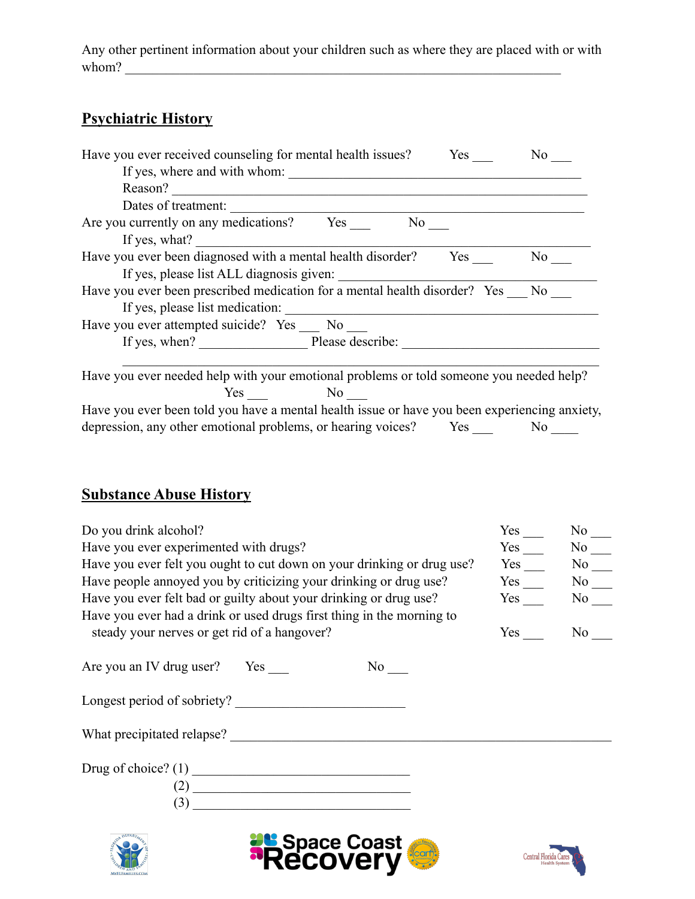Any other pertinent information about your children such as where they are placed with or with whom?  $\blacksquare$ 

# **Psychiatric History**

| Have you ever received counseling for mental health issues?<br>Yes<br>No.                    |  |
|----------------------------------------------------------------------------------------------|--|
| If yes, where and with whom:                                                                 |  |
| Reason?                                                                                      |  |
| Dates of treatment:                                                                          |  |
| Are you currently on any medications? Yes<br>No.                                             |  |
| If yes, what?                                                                                |  |
| Have you ever been diagnosed with a mental health disorder? Yes<br>No                        |  |
| If yes, please list ALL diagnosis given:                                                     |  |
| Have you ever been prescribed medication for a mental health disorder? Yes No                |  |
| If yes, please list medication:                                                              |  |
| Have you ever attempted suicide? Yes __ No __                                                |  |
| If yes, when? Please describe:                                                               |  |
|                                                                                              |  |
| Have you ever needed help with your emotional problems or told someone you needed help?      |  |
| Yes No                                                                                       |  |
| Have you ever been told you have a mental health issue or have you been experiencing anxiety |  |

Have you ever been told you have a mental health issue or have you been experiencing anxiety, depression, any other emotional problems, or hearing voices? Yes  $\frac{1}{\sqrt{1-\frac{1}{n}}}$  No  $\frac{1}{\sqrt{1-\frac{1}{n}}}$ 

## **Substance Abuse History**

| Do you drink alcohol?                                                  | Yes<br>$No \_$ |                     |  |
|------------------------------------------------------------------------|----------------|---------------------|--|
| Have you ever experimented with drugs?                                 | Yes            | No No               |  |
| Have you ever felt you ought to cut down on your drinking or drug use? | Yes            | $No$ <sub>___</sub> |  |
| Have people annoyed you by criticizing your drinking or drug use?      |                | $Yes$ No $\_\_$     |  |
| Have you ever felt bad or guilty about your drinking or drug use?      | Yes            | No No               |  |
| Have you ever had a drink or used drugs first thing in the morning to  |                |                     |  |
| steady your nerves or get rid of a hangover?                           | $Yes \_$       | No No               |  |
| Are you an IV drug user? Yes<br>$No \_$<br>Longest period of sobriety? |                |                     |  |
|                                                                        |                |                     |  |
| $\overline{3}$                                                         |                |                     |  |
| <b><i>Pu</i> Space Coast</b><br><b>ReCOVEry</b>                        |                |                     |  |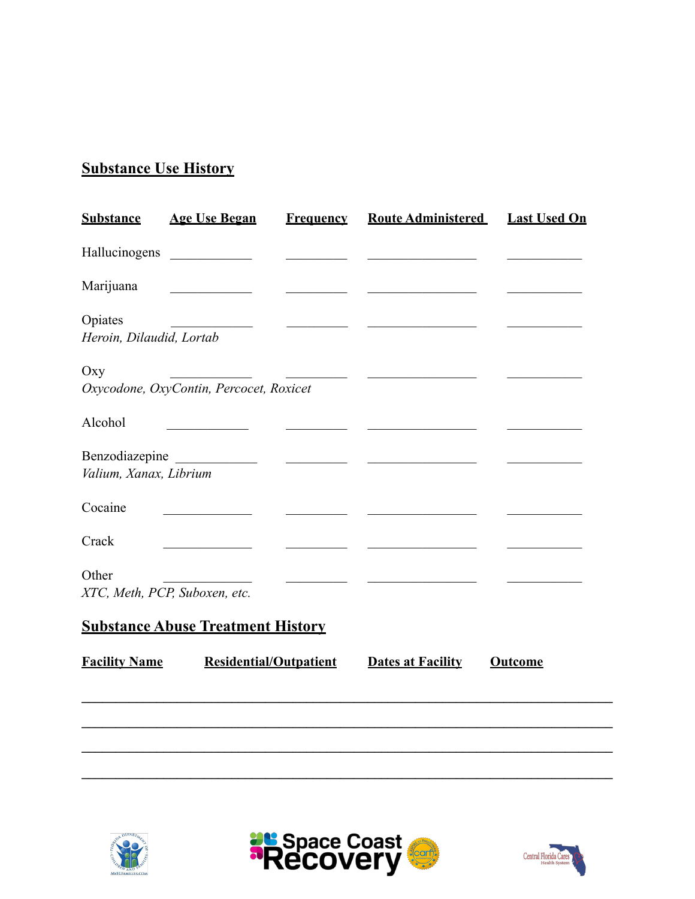# **Substance Use History**

| <b>Substance</b>                         | <b>Age Use Began</b>                                                                                                 | <b>Frequency</b>                                                                                                          | <b>Route Administered</b>                                                                                             | <b>Last Used On</b> |
|------------------------------------------|----------------------------------------------------------------------------------------------------------------------|---------------------------------------------------------------------------------------------------------------------------|-----------------------------------------------------------------------------------------------------------------------|---------------------|
|                                          |                                                                                                                      |                                                                                                                           |                                                                                                                       |                     |
| Marijuana                                | <u> 1990 - Johann Barnett, fransk politiker</u>                                                                      |                                                                                                                           | <u> 1990 - Johann Barn, mars ann an t-Amhair ann an t-</u>                                                            |                     |
| Opiates<br>Heroin, Dilaudid, Lortab      | <u> 1980 - Jan Salaman III, masa ka</u>                                                                              | <u> Alexandria (Carlo Carlo Carlo Carlo Carlo Carlo Carlo Carlo Carlo Carlo Carlo Carlo Carlo Carlo Carlo Carlo Carlo</u> |                                                                                                                       |                     |
| Oxy                                      | Oxycodone, OxyContin, Percocet, Roxicet                                                                              | <u> Albanya di Barat di Barat di Barat di Barat di Barat di Barat di Barat di Barat di Barat di Barat di Barat d</u>      | <u> Alexandria de la contrada de la contrada de la contrada de la contrada de la contrada de la contrada de la c</u>  |                     |
| Alcohol                                  |                                                                                                                      |                                                                                                                           |                                                                                                                       |                     |
| Benzodiazepine<br>Valium, Xanax, Librium | <u> 1990 - Jan Jawa Barat, prima prima prima prima prima prima prima prima prima prima prima prima prima prima p</u> |                                                                                                                           | <u> 1980 - Andrea State Barbara, política establecera en la contrada de la contrada de la contrada de la contrada</u> |                     |
| Cocaine                                  |                                                                                                                      |                                                                                                                           |                                                                                                                       |                     |
| Crack                                    |                                                                                                                      |                                                                                                                           | <u> 1989 - Johann John Stein, fransk politik (</u>                                                                    |                     |
| Other<br>XTC, Meth, PCP, Suboxen, etc.   |                                                                                                                      |                                                                                                                           |                                                                                                                       |                     |
|                                          | <b>Substance Abuse Treatment History</b>                                                                             |                                                                                                                           |                                                                                                                       |                     |
| <b>Facility Name</b>                     | <b>Residential/Outpatient</b>                                                                                        |                                                                                                                           | <b>Dates at Facility</b>                                                                                              | <b>Outcome</b>      |
|                                          |                                                                                                                      |                                                                                                                           |                                                                                                                       |                     |
|                                          |                                                                                                                      |                                                                                                                           |                                                                                                                       |                     |





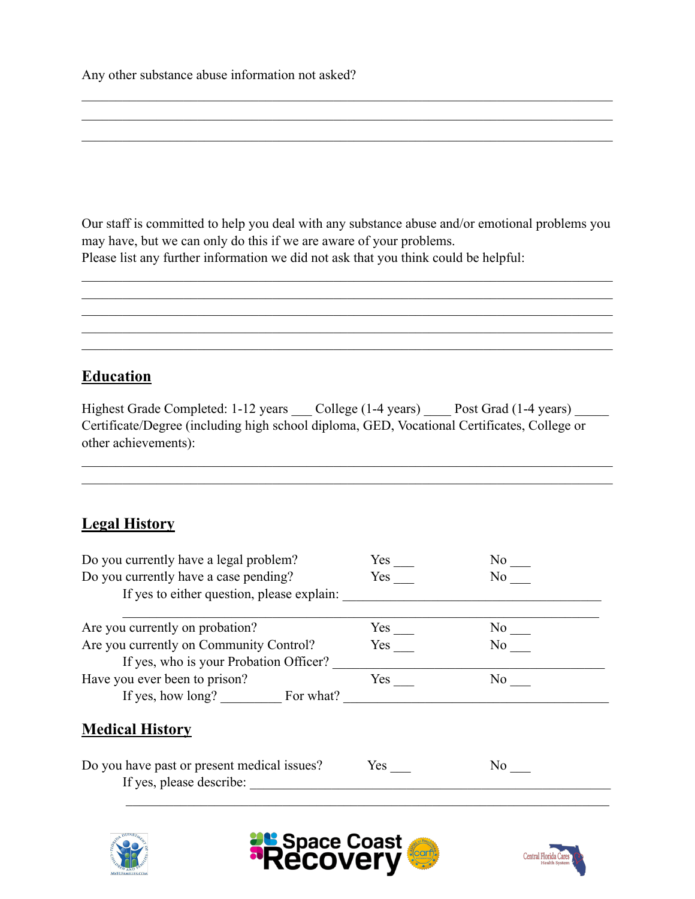Any other substance abuse information not asked?

Our staff is committed to help you deal with any substance abuse and/or emotional problems you may have, but we can only do this if we are aware of your problems. Please list any further information we did not ask that you think could be helpful:

 $\mathcal{L}_\mathcal{L} = \{ \mathcal{L}_\mathcal{L} = \{ \mathcal{L}_\mathcal{L} = \{ \mathcal{L}_\mathcal{L} = \{ \mathcal{L}_\mathcal{L} = \{ \mathcal{L}_\mathcal{L} = \{ \mathcal{L}_\mathcal{L} = \{ \mathcal{L}_\mathcal{L} = \{ \mathcal{L}_\mathcal{L} = \{ \mathcal{L}_\mathcal{L} = \{ \mathcal{L}_\mathcal{L} = \{ \mathcal{L}_\mathcal{L} = \{ \mathcal{L}_\mathcal{L} = \{ \mathcal{L}_\mathcal{L} = \{ \mathcal{L}_\mathcal{$  $\mathcal{L}_\mathcal{L} = \{ \mathcal{L}_\mathcal{L} = \{ \mathcal{L}_\mathcal{L} = \{ \mathcal{L}_\mathcal{L} = \{ \mathcal{L}_\mathcal{L} = \{ \mathcal{L}_\mathcal{L} = \{ \mathcal{L}_\mathcal{L} = \{ \mathcal{L}_\mathcal{L} = \{ \mathcal{L}_\mathcal{L} = \{ \mathcal{L}_\mathcal{L} = \{ \mathcal{L}_\mathcal{L} = \{ \mathcal{L}_\mathcal{L} = \{ \mathcal{L}_\mathcal{L} = \{ \mathcal{L}_\mathcal{L} = \{ \mathcal{L}_\mathcal{$  $\mathcal{L}_\mathcal{L} = \{ \mathcal{L}_\mathcal{L} = \{ \mathcal{L}_\mathcal{L} = \{ \mathcal{L}_\mathcal{L} = \{ \mathcal{L}_\mathcal{L} = \{ \mathcal{L}_\mathcal{L} = \{ \mathcal{L}_\mathcal{L} = \{ \mathcal{L}_\mathcal{L} = \{ \mathcal{L}_\mathcal{L} = \{ \mathcal{L}_\mathcal{L} = \{ \mathcal{L}_\mathcal{L} = \{ \mathcal{L}_\mathcal{L} = \{ \mathcal{L}_\mathcal{L} = \{ \mathcal{L}_\mathcal{L} = \{ \mathcal{L}_\mathcal{$  $\mathcal{L}_\mathcal{L} = \{ \mathcal{L}_\mathcal{L} = \{ \mathcal{L}_\mathcal{L} = \{ \mathcal{L}_\mathcal{L} = \{ \mathcal{L}_\mathcal{L} = \{ \mathcal{L}_\mathcal{L} = \{ \mathcal{L}_\mathcal{L} = \{ \mathcal{L}_\mathcal{L} = \{ \mathcal{L}_\mathcal{L} = \{ \mathcal{L}_\mathcal{L} = \{ \mathcal{L}_\mathcal{L} = \{ \mathcal{L}_\mathcal{L} = \{ \mathcal{L}_\mathcal{L} = \{ \mathcal{L}_\mathcal{L} = \{ \mathcal{L}_\mathcal{$  $\mathcal{L}_\mathcal{L} = \mathcal{L}_\mathcal{L} = \mathcal{L}_\mathcal{L} = \mathcal{L}_\mathcal{L} = \mathcal{L}_\mathcal{L} = \mathcal{L}_\mathcal{L} = \mathcal{L}_\mathcal{L} = \mathcal{L}_\mathcal{L} = \mathcal{L}_\mathcal{L} = \mathcal{L}_\mathcal{L} = \mathcal{L}_\mathcal{L} = \mathcal{L}_\mathcal{L} = \mathcal{L}_\mathcal{L} = \mathcal{L}_\mathcal{L} = \mathcal{L}_\mathcal{L} = \mathcal{L}_\mathcal{L} = \mathcal{L}_\mathcal{L}$ 

 $\mathcal{L}_\mathcal{L} = \{ \mathcal{L}_\mathcal{L} = \{ \mathcal{L}_\mathcal{L} = \{ \mathcal{L}_\mathcal{L} = \{ \mathcal{L}_\mathcal{L} = \{ \mathcal{L}_\mathcal{L} = \{ \mathcal{L}_\mathcal{L} = \{ \mathcal{L}_\mathcal{L} = \{ \mathcal{L}_\mathcal{L} = \{ \mathcal{L}_\mathcal{L} = \{ \mathcal{L}_\mathcal{L} = \{ \mathcal{L}_\mathcal{L} = \{ \mathcal{L}_\mathcal{L} = \{ \mathcal{L}_\mathcal{L} = \{ \mathcal{L}_\mathcal{$  $\mathcal{L}_\mathcal{L} = \{ \mathcal{L}_\mathcal{L} = \{ \mathcal{L}_\mathcal{L} = \{ \mathcal{L}_\mathcal{L} = \{ \mathcal{L}_\mathcal{L} = \{ \mathcal{L}_\mathcal{L} = \{ \mathcal{L}_\mathcal{L} = \{ \mathcal{L}_\mathcal{L} = \{ \mathcal{L}_\mathcal{L} = \{ \mathcal{L}_\mathcal{L} = \{ \mathcal{L}_\mathcal{L} = \{ \mathcal{L}_\mathcal{L} = \{ \mathcal{L}_\mathcal{L} = \{ \mathcal{L}_\mathcal{L} = \{ \mathcal{L}_\mathcal{$  $\mathcal{L}_\mathcal{L} = \mathcal{L}_\mathcal{L} = \mathcal{L}_\mathcal{L} = \mathcal{L}_\mathcal{L} = \mathcal{L}_\mathcal{L} = \mathcal{L}_\mathcal{L} = \mathcal{L}_\mathcal{L} = \mathcal{L}_\mathcal{L} = \mathcal{L}_\mathcal{L} = \mathcal{L}_\mathcal{L} = \mathcal{L}_\mathcal{L} = \mathcal{L}_\mathcal{L} = \mathcal{L}_\mathcal{L} = \mathcal{L}_\mathcal{L} = \mathcal{L}_\mathcal{L} = \mathcal{L}_\mathcal{L} = \mathcal{L}_\mathcal{L}$ 

### **Education**

Highest Grade Completed: 1-12 years \_\_\_ College (1-4 years) \_\_\_\_ Post Grad (1-4 years) \_\_\_\_ Certificate/Degree (including high school diploma, GED, Vocational Certificates, College or other achievements):

 $\mathcal{L}_\mathcal{L} = \{ \mathcal{L}_\mathcal{L} = \{ \mathcal{L}_\mathcal{L} = \{ \mathcal{L}_\mathcal{L} = \{ \mathcal{L}_\mathcal{L} = \{ \mathcal{L}_\mathcal{L} = \{ \mathcal{L}_\mathcal{L} = \{ \mathcal{L}_\mathcal{L} = \{ \mathcal{L}_\mathcal{L} = \{ \mathcal{L}_\mathcal{L} = \{ \mathcal{L}_\mathcal{L} = \{ \mathcal{L}_\mathcal{L} = \{ \mathcal{L}_\mathcal{L} = \{ \mathcal{L}_\mathcal{L} = \{ \mathcal{L}_\mathcal{$  $\mathcal{L}_\mathcal{L} = \{ \mathcal{L}_\mathcal{L} = \{ \mathcal{L}_\mathcal{L} = \{ \mathcal{L}_\mathcal{L} = \{ \mathcal{L}_\mathcal{L} = \{ \mathcal{L}_\mathcal{L} = \{ \mathcal{L}_\mathcal{L} = \{ \mathcal{L}_\mathcal{L} = \{ \mathcal{L}_\mathcal{L} = \{ \mathcal{L}_\mathcal{L} = \{ \mathcal{L}_\mathcal{L} = \{ \mathcal{L}_\mathcal{L} = \{ \mathcal{L}_\mathcal{L} = \{ \mathcal{L}_\mathcal{L} = \{ \mathcal{L}_\mathcal{$ 

### **Legal History**

| Do you currently have a legal problem?      | Yes | No results  |
|---------------------------------------------|-----|-------------|
| Do you currently have a case pending?       | Yes | No.         |
| If yes to either question, please explain:  |     |             |
|                                             |     |             |
| Are you currently on probation?             | Yes | No results  |
| Are you currently on Community Control?     | Yes | No results. |
| If yes, who is your Probation Officer?      |     |             |
| Have you ever been to prison?               | Yes | No r        |
| If yes, how long? For what?                 |     |             |
| <b>Medical History</b>                      |     |             |
|                                             |     |             |
| Do you have past or present medical issues? | Yes | No.         |
| If yes, please describe:                    |     |             |
|                                             |     |             |
|                                             |     |             |





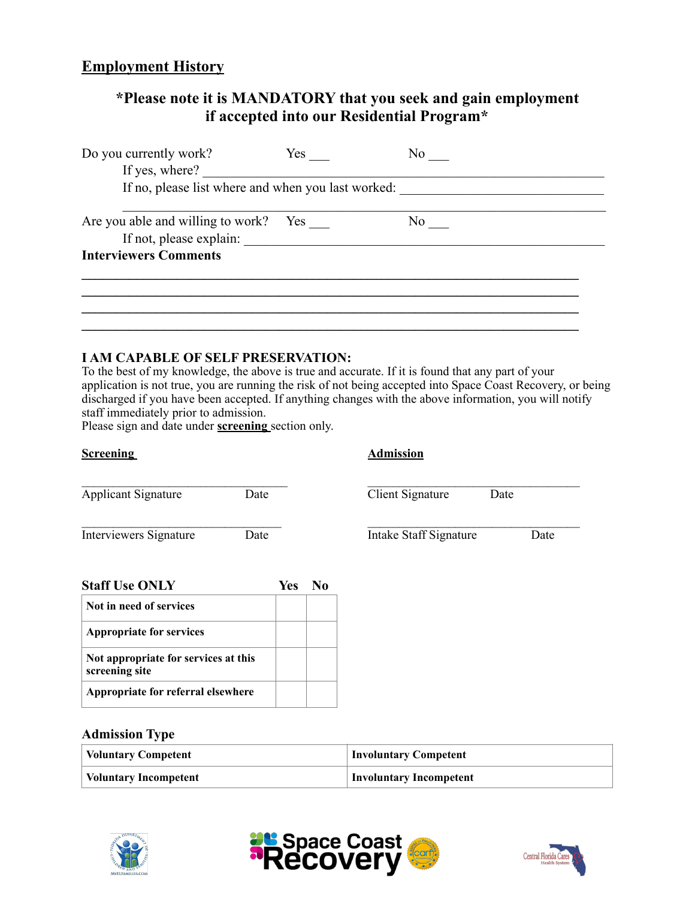#### **Employment History**

### **\*Please note it is MANDATORY that you seek and gain employment if accepted into our Residential Program\***

| Do you currently work?<br>If yes, where?                         | Yes |    |
|------------------------------------------------------------------|-----|----|
| If no, please list where and when you last worked:               |     |    |
| Are you able and willing to work? Yes<br>If not, please explain: |     | No |
| <b>Interviewers Comments</b>                                     |     |    |
|                                                                  |     |    |
|                                                                  |     |    |

#### **I AM CAPABLE OF SELF PRESERVATION:**

To the best of my knowledge, the above is true and accurate. If it is found that any part of your application is not true, you are running the risk of not being accepted into Space Coast Recovery, or being discharged if you have been accepted. If anything changes with the above information, you will notify staff immediately prior to admission.

Please sign and date under **screening** section only.

| <b>Screening</b>                     |      |            |                | <b>Admission</b>       |      |      |
|--------------------------------------|------|------------|----------------|------------------------|------|------|
| <b>Applicant Signature</b>           | Date |            |                | Client Signature       | Date |      |
| Interviewers Signature               | Date |            |                | Intake Staff Signature |      | Date |
| <b>Staff Use ONLY</b>                |      | <b>Yes</b> | N <sub>0</sub> |                        |      |      |
| Not in need of services              |      |            |                |                        |      |      |
| <b>Appropriate for services</b>      |      |            |                |                        |      |      |
| Not appropriate for services at this |      |            |                |                        |      |      |

#### **Admission Type**

**Appropriate for referral elsewhere**

**screening site**

| <b>Voluntary Competent</b>   | <b>Involuntary Competent</b> |
|------------------------------|------------------------------|
| <b>Voluntary Incompetent</b> | Involuntary Incompetent      |